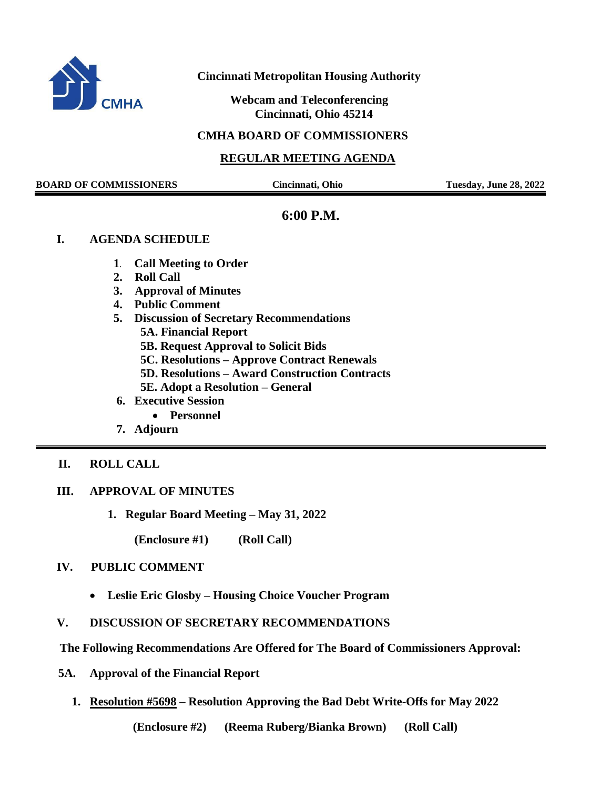

## **Cincinnati Metropolitan Housing Authority**

 **Webcam and Teleconferencing Cincinnati, Ohio 45214**

#### **CMHA BOARD OF COMMISSIONERS**

## **REGULAR MEETING AGENDA**

**BOARD OF COMMISSIONERS Cincinnati, Ohio Tuesday, June 28, 2022**

# **6:00 P.M.**

#### **I. AGENDA SCHEDULE**

- **1. Call Meeting to Order**
- **2. Roll Call**
- **3. Approval of Minutes**
- **4. Public Comment**
- **5. Discussion of Secretary Recommendations**
	- **5A. Financial Report**
	- **5B. Request Approval to Solicit Bids**
	- **5C. Resolutions – Approve Contract Renewals**
	- **5D. Resolutions – Award Construction Contracts**
	- **5E. Adopt a Resolution – General**
- **6. Executive Session**
	- **Personnel**
- **7. Adjourn**
- **II. ROLL CALL**
- **III. APPROVAL OF MINUTES** 
	- **1. Regular Board Meeting – May 31, 2022**
		- **(Enclosure #1) (Roll Call)**

# **IV. PUBLIC COMMENT**

- **Leslie Eric Glosby – Housing Choice Voucher Program**
- **V. DISCUSSION OF SECRETARY RECOMMENDATIONS**
- **The Following Recommendations Are Offered for The Board of Commissioners Approval:**
- **5A. Approval of the Financial Report** 
	- **1. Resolution #5698 – Resolution Approving the Bad Debt Write-Offs for May 2022**

**(Enclosure #2) (Reema Ruberg/Bianka Brown) (Roll Call)**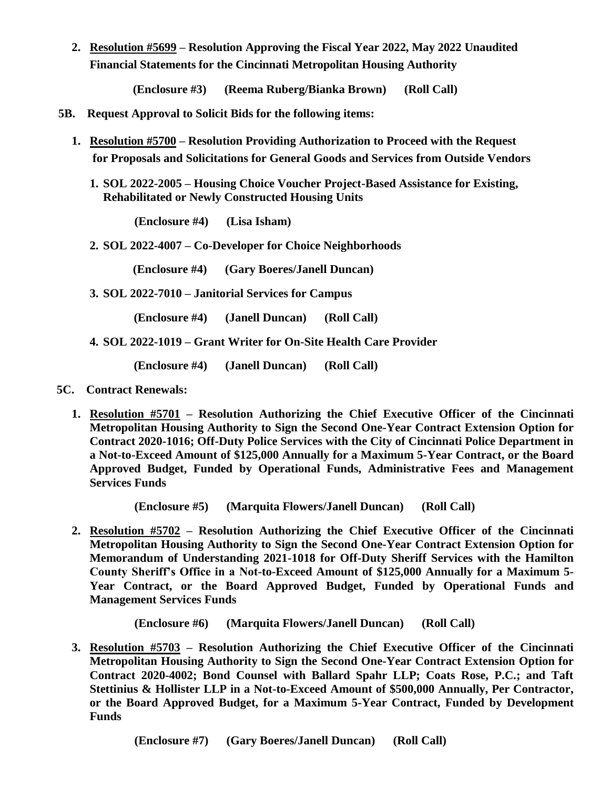**2. Resolution #5699 – Resolution Approving the Fiscal Year 2022, May 2022 Unaudited Financial Statements for the Cincinnati Metropolitan Housing Authority**

**(Enclosure #3) (Reema Ruberg/Bianka Brown) (Roll Call)**

- **5B. Request Approval to Solicit Bids for the following items:** 
	- **1. Resolution #5700 – Resolution Providing Authorization to Proceed with the Request for Proposals and Solicitations for General Goods and Services from Outside Vendors**
		- **1. SOL 2022-2005 – Housing Choice Voucher Project-Based Assistance for Existing, Rehabilitated or Newly Constructed Housing Units**

 **(Enclosure #4) (Lisa Isham)**

**2. SOL 2022-4007 – Co-Developer for Choice Neighborhoods**

 **(Enclosure #4) (Gary Boeres/Janell Duncan)**

**3. SOL 2022-7010 – Janitorial Services for Campus**

 **(Enclosure #4) (Janell Duncan) (Roll Call)** 

**4. SOL 2022-1019 – Grant Writer for On-Site Health Care Provider**

 **(Enclosure #4) (Janell Duncan) (Roll Call)** 

- **5C. Contract Renewals:**
	- **1. Resolution #5701 – Resolution Authorizing the Chief Executive Officer of the Cincinnati Metropolitan Housing Authority to Sign the Second One-Year Contract Extension Option for Contract 2020-1016; Off-Duty Police Services with the City of Cincinnati Police Department in a Not-to-Exceed Amount of \$125,000 Annually for a Maximum 5-Year Contract, or the Board Approved Budget, Funded by Operational Funds, Administrative Fees and Management Services Funds**

**(Enclosure #5) (Marquita Flowers/Janell Duncan) (Roll Call)**

**2. Resolution #5702 – Resolution Authorizing the Chief Executive Officer of the Cincinnati Metropolitan Housing Authority to Sign the Second One-Year Contract Extension Option for Memorandum of Understanding 2021-1018 for Off-Duty Sheriff Services with the Hamilton County Sheriff's Office in a Not-to-Exceed Amount of \$125,000 Annually for a Maximum 5- Year Contract, or the Board Approved Budget, Funded by Operational Funds and Management Services Funds**

 **(Enclosure #6) (Marquita Flowers/Janell Duncan) (Roll Call)**

**3. Resolution #5703 – Resolution Authorizing the Chief Executive Officer of the Cincinnati Metropolitan Housing Authority to Sign the Second One-Year Contract Extension Option for Contract 2020-4002; Bond Counsel with Ballard Spahr LLP; Coats Rose, P.C.; and Taft Stettinius & Hollister LLP in a Not-to-Exceed Amount of \$500,000 Annually, Per Contractor, or the Board Approved Budget, for a Maximum 5-Year Contract, Funded by Development Funds**

 **(Enclosure #7) (Gary Boeres/Janell Duncan) (Roll Call)**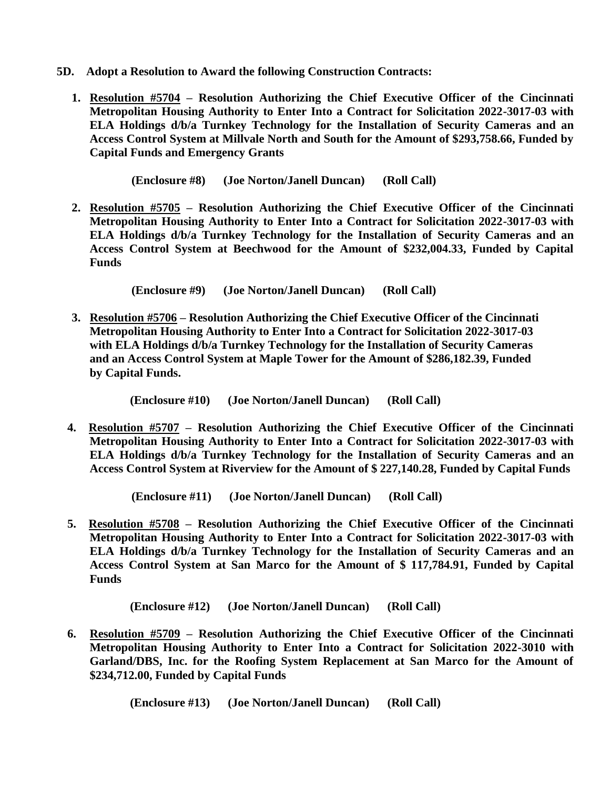- **5D. Adopt a Resolution to Award the following Construction Contracts:**
	- **1. Resolution #5704 – Resolution Authorizing the Chief Executive Officer of the Cincinnati Metropolitan Housing Authority to Enter Into a Contract for Solicitation 2022-3017-03 with ELA Holdings d/b/a Turnkey Technology for the Installation of Security Cameras and an Access Control System at Millvale North and South for the Amount of \$293,758.66, Funded by Capital Funds and Emergency Grants**

 **(Enclosure #8) (Joe Norton/Janell Duncan) (Roll Call)**

**2. Resolution #5705 – Resolution Authorizing the Chief Executive Officer of the Cincinnati Metropolitan Housing Authority to Enter Into a Contract for Solicitation 2022-3017-03 with ELA Holdings d/b/a Turnkey Technology for the Installation of Security Cameras and an Access Control System at Beechwood for the Amount of \$232,004.33, Funded by Capital Funds**

 **(Enclosure #9) (Joe Norton/Janell Duncan) (Roll Call)**

**3. Resolution #5706 – Resolution Authorizing the Chief Executive Officer of the Cincinnati Metropolitan Housing Authority to Enter Into a Contract for Solicitation 2022-3017-03 with ELA Holdings d/b/a Turnkey Technology for the Installation of Security Cameras and an Access Control System at Maple Tower for the Amount of \$286,182.39, Funded by Capital Funds.**

 **(Enclosure #10) (Joe Norton/Janell Duncan) (Roll Call)**

**4. Resolution #5707 – Resolution Authorizing the Chief Executive Officer of the Cincinnati Metropolitan Housing Authority to Enter Into a Contract for Solicitation 2022-3017-03 with ELA Holdings d/b/a Turnkey Technology for the Installation of Security Cameras and an Access Control System at Riverview for the Amount of \$ 227,140.28, Funded by Capital Funds**

 **(Enclosure #11) (Joe Norton/Janell Duncan) (Roll Call)**

**5. Resolution #5708 – Resolution Authorizing the Chief Executive Officer of the Cincinnati Metropolitan Housing Authority to Enter Into a Contract for Solicitation 2022-3017-03 with ELA Holdings d/b/a Turnkey Technology for the Installation of Security Cameras and an Access Control System at San Marco for the Amount of \$ 117,784.91, Funded by Capital Funds**

 **(Enclosure #12) (Joe Norton/Janell Duncan) (Roll Call)**

**6. Resolution #5709 – Resolution Authorizing the Chief Executive Officer of the Cincinnati Metropolitan Housing Authority to Enter Into a Contract for Solicitation 2022-3010 with Garland/DBS, Inc. for the Roofing System Replacement at San Marco for the Amount of \$234,712.00, Funded by Capital Funds**

 **(Enclosure #13) (Joe Norton/Janell Duncan) (Roll Call)**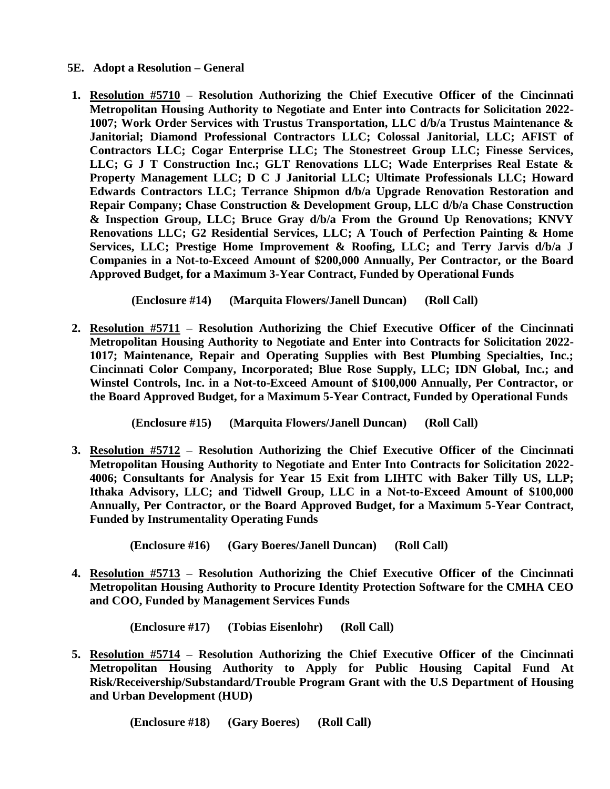- **5E. Adopt a Resolution – General**
- **1. Resolution #5710 – Resolution Authorizing the Chief Executive Officer of the Cincinnati Metropolitan Housing Authority to Negotiate and Enter into Contracts for Solicitation 2022- 1007; Work Order Services with Trustus Transportation, LLC d/b/a Trustus Maintenance & Janitorial; Diamond Professional Contractors LLC; Colossal Janitorial, LLC; AFIST of Contractors LLC; Cogar Enterprise LLC; The Stonestreet Group LLC; Finesse Services, LLC; G J T Construction Inc.; GLT Renovations LLC; Wade Enterprises Real Estate & Property Management LLC; D C J Janitorial LLC; Ultimate Professionals LLC; Howard Edwards Contractors LLC; Terrance Shipmon d/b/a Upgrade Renovation Restoration and Repair Company; Chase Construction & Development Group, LLC d/b/a Chase Construction & Inspection Group, LLC; Bruce Gray d/b/a From the Ground Up Renovations; KNVY Renovations LLC; G2 Residential Services, LLC; A Touch of Perfection Painting & Home Services, LLC; Prestige Home Improvement & Roofing, LLC; and Terry Jarvis d/b/a J Companies in a Not-to-Exceed Amount of \$200,000 Annually, Per Contractor, or the Board Approved Budget, for a Maximum 3-Year Contract, Funded by Operational Funds**

 **(Enclosure #14) (Marquita Flowers/Janell Duncan) (Roll Call)**

**2. Resolution #5711 – Resolution Authorizing the Chief Executive Officer of the Cincinnati Metropolitan Housing Authority to Negotiate and Enter into Contracts for Solicitation 2022- 1017; Maintenance, Repair and Operating Supplies with Best Plumbing Specialties, Inc.; Cincinnati Color Company, Incorporated; Blue Rose Supply, LLC; IDN Global, Inc.; and Winstel Controls, Inc. in a Not-to-Exceed Amount of \$100,000 Annually, Per Contractor, or the Board Approved Budget, for a Maximum 5-Year Contract, Funded by Operational Funds**

 **(Enclosure #15) (Marquita Flowers/Janell Duncan) (Roll Call)**

**3. Resolution #5712 – Resolution Authorizing the Chief Executive Officer of the Cincinnati Metropolitan Housing Authority to Negotiate and Enter Into Contracts for Solicitation 2022- 4006; Consultants for Analysis for Year 15 Exit from LIHTC with Baker Tilly US, LLP; Ithaka Advisory, LLC; and Tidwell Group, LLC in a Not-to-Exceed Amount of \$100,000 Annually, Per Contractor, or the Board Approved Budget, for a Maximum 5-Year Contract, Funded by Instrumentality Operating Funds**

 **(Enclosure #16) (Gary Boeres/Janell Duncan) (Roll Call)**

**4. Resolution #5713 – Resolution Authorizing the Chief Executive Officer of the Cincinnati Metropolitan Housing Authority to Procure Identity Protection Software for the CMHA CEO and COO, Funded by Management Services Funds**

 **(Enclosure #17) (Tobias Eisenlohr) (Roll Call)**

**5. Resolution #5714 – Resolution Authorizing the Chief Executive Officer of the Cincinnati Metropolitan Housing Authority to Apply for Public Housing Capital Fund At Risk/Receivership/Substandard/Trouble Program Grant with the U.S Department of Housing and Urban Development (HUD)**

 **(Enclosure #18) (Gary Boeres) (Roll Call)**